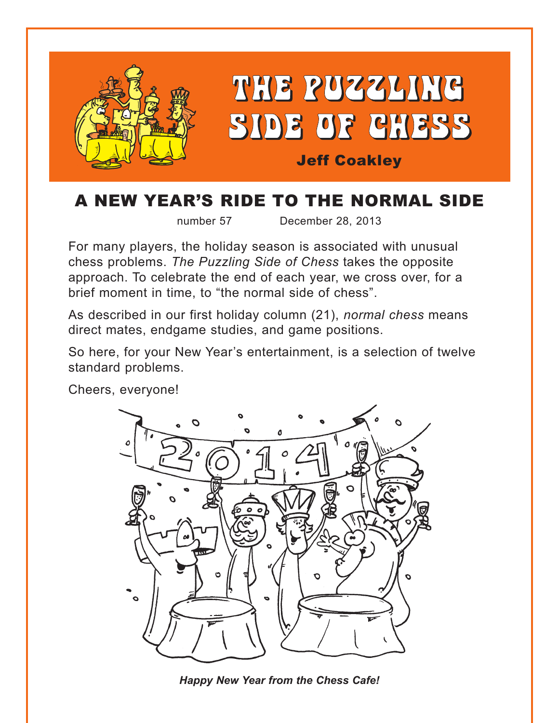

# A NEW YEAR'S RIDE TO THE NORMAL SIDE

number 57 December 28, 2013

For many players, the holiday season is associated with unusual chess problems. *The Puzzling Side of Chess* takes the opposite approach. To celebrate the end of each year, we cross over, for a brief moment in time, to "the normal side of chess".

As described in our first holiday column (21), *normal chess* means direct mates, endgame studies, and game positions.

So here, for your New Year's entertainment, is a selection of twelve standard problems.

Cheers, everyone!



*Happy New Year from the Chess Cafe!*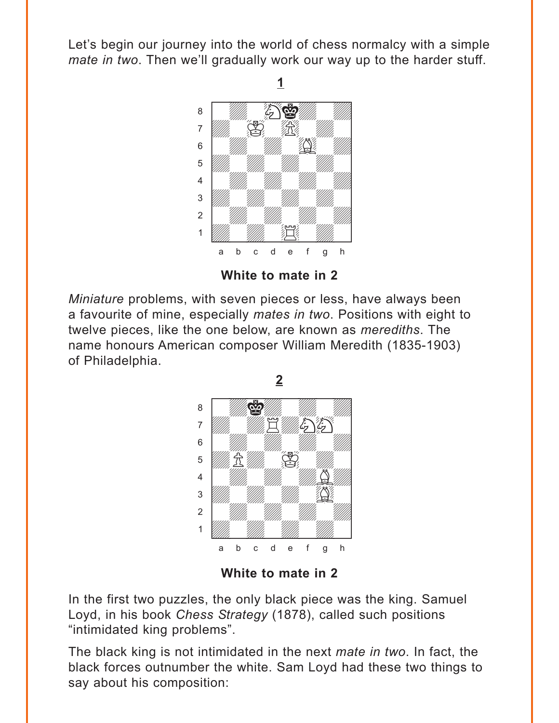<span id="page-1-0"></span>Let's begin our journey into the world of chess normalcy with a simple *mate in two*. Then we'll gradually work our way up to the harder stuff.



**White to mate in 2**

*Miniature* problems, with seven pieces or less, have always been a favourite of mine, especially *mates in two*. Positions with eight to twelve pieces, like the one below, are known as *merediths*. The name honours American composer William Meredith (1835-1903) of Philadelphia.



**White to mate in 2**

In the first two puzzles, the only black piece was the king. Samuel Loyd, in his book *Chess Strategy* (1878), called such positions "intimidated king problems".

The black king is not intimidated in the next *mate in two*. In fact, the black forces outnumber the white. Sam Loyd had these two things to say about his composition: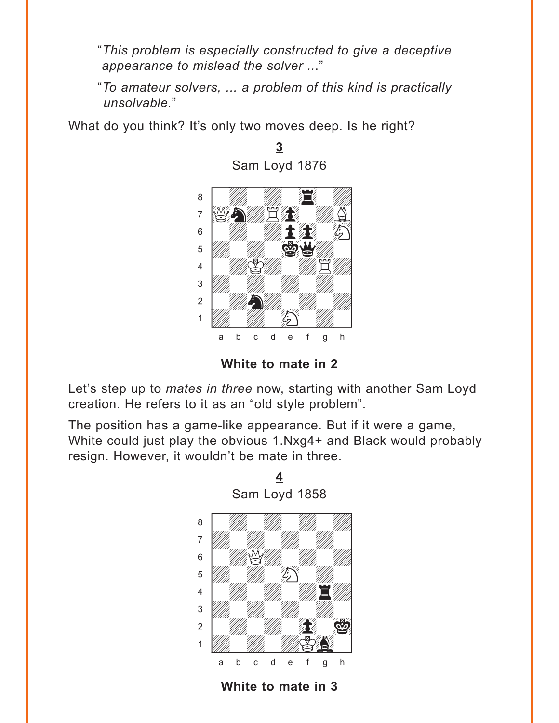<span id="page-2-0"></span>"*This problem is especially constructed to give a deceptive appearance to mislead the solver ..*."

"*To amateur solvers, ... a problem of this kind is practically unsolvable.*"

**[3](#page-9-0)**

What do you think? It's only two moves deep. Is he right?



**White to mate in 2**

Let's step up to *mates in three* now, starting with another Sam Loyd creation. He refers to it as an "old style problem".

The position has a game-like appearance. But if it were a game, White could just play the obvious 1.Nxg4+ and Black would probably resign. However, it wouldn't be mate in three.



**White to mate in 3**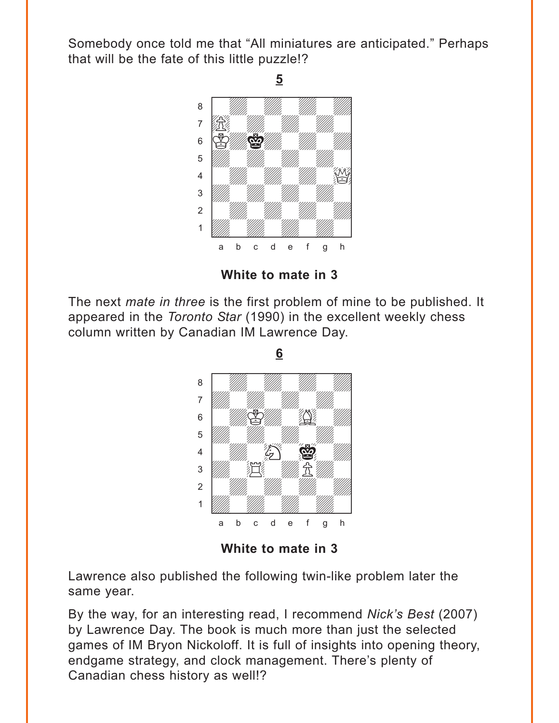<span id="page-3-0"></span>Somebody once told me that "All miniatures are anticipated." Perhaps that will be the fate of this little puzzle!?

**5**



**White to mate in 3**

The next *mate in three* is the first problem of mine to be published. It appeared in the *Toronto Star* (1990) in the excellent weekly chess column written by Canadian IM Lawrence Day.

> where  $\frac{w}{\sqrt{2\pi}}$  , where  $\frac{w}{\sqrt{2\pi}}$  , where  $\frac{w}{\sqrt{2\pi}}$ a ya *mai wa* wakazi wa 1972, wa àdwdwdwdw] ßwdKdwGwd]  $\overline{\mathcal{L}}$  $\frac{4}{\sqrt{2}}$  ( $\frac{1}{\sqrt{2}}$  ( $\frac{1}{\sqrt{2}}$  ( $\frac{1}{\sqrt{2}}$  )  $\frac{1}{2}$  which  $\frac{1}{2}$ 2 | *William William William William 1994* Údwdwdwdw] a b c d e f g h

**White to mate in 3**

Lawrence also published the following twin-like problem later the same year.

By the way, for an interesting read, I recommend *Nick's Best* (2007) by Lawrence Day. The book is much more than just the selected games of IM Bryon Nickoloff. It is full of insights into opening theory, endgame strategy, and clock management. There's plenty of Canadian chess history as well!?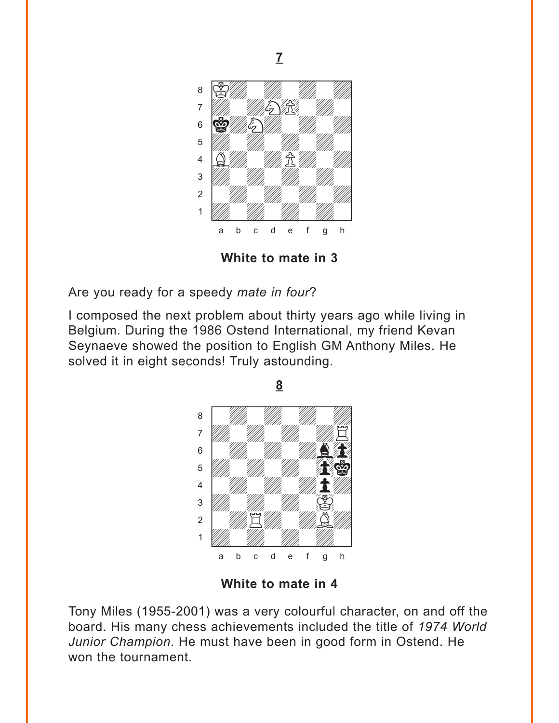<span id="page-4-0"></span>

**White to mate in 3**

Are you ready for a speedy *mate in four*?

I composed the next problem about thirty years ago while living in Belgium. During the 1986 Ostend International, my friend Kevan Seynaeve showed the position to English GM Anthony Miles. He solved it in eight seconds! Truly astounding.



**White to mate in 4**

Tony Miles (1955-2001) was a very colourful character, on and off the board. His many chess achievements included the title of *1974 World Junior Champion*. He must have been in good form in Ostend. He won the tournament.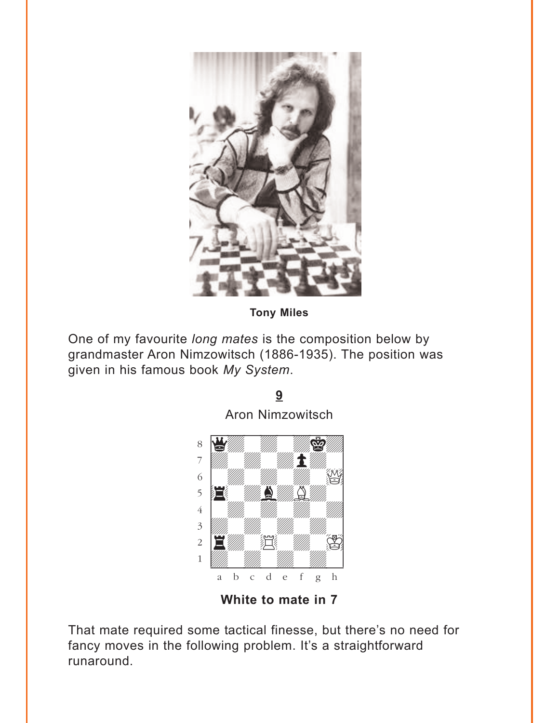<span id="page-5-0"></span>

**Tony Miles** 

9

One of my favourite long mates is the composition below by grandmaster Aron Nimzowitsch (1886-1935). The position was given in his famous book My System.



White to mate in 7

That mate required some tactical finesse, but there's no need for fancy moves in the following problem. It's a straightforward runaround.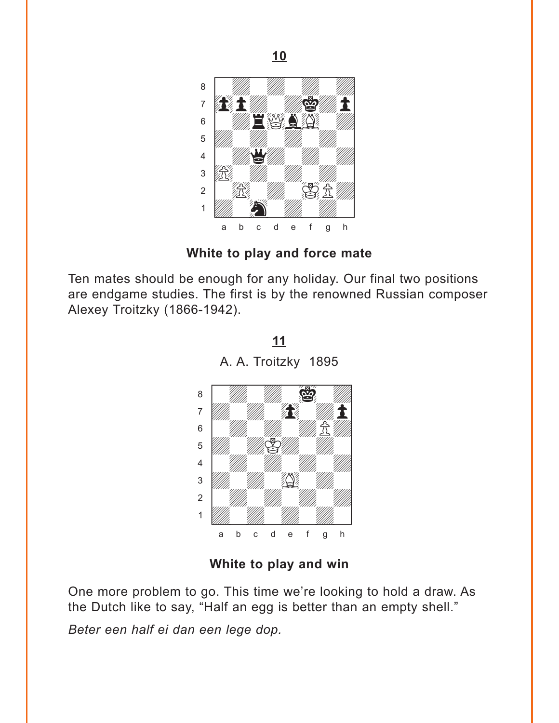<span id="page-6-0"></span>

**White to play and force mate**

Ten mates should be enough for any holiday. Our final two positions are endgame studies. The first is by the renowned Russian composer Alexey Troitzky (1866-1942).

**[<sup>11</sup>](#page-15-0)** A. A. Troitzky 1895



**White to play and win**

One more problem to go. This time we're looking to hold a draw. As the Dutch like to say, "Half an egg is better than an empty shell."

*Beter een half ei dan een lege dop.*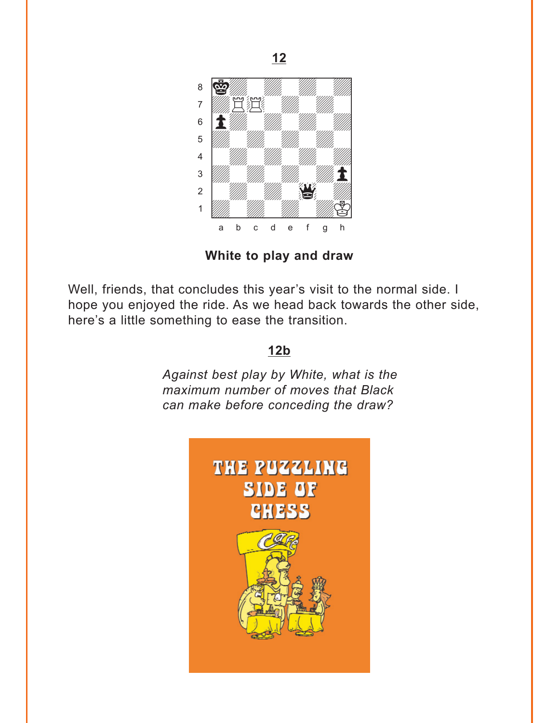<span id="page-7-0"></span>

White to play and draw

Well, friends, that concludes this year's visit to the normal side. I hope you enjoyed the ride. As we head back towards the other side, here's a little something to ease the transition.

## $12<sub>b</sub>$

Against best play by White, what is the maximum number of moves that Black can make before conceding the draw?

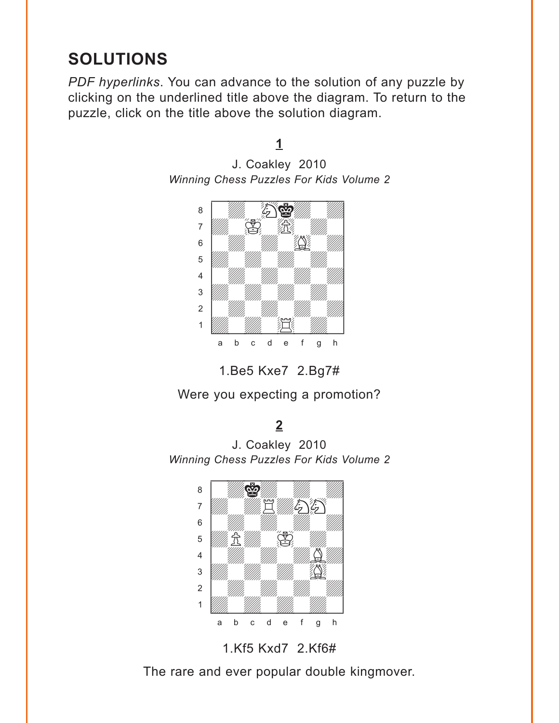# <span id="page-8-0"></span>**SOLUTIONS**

*PDF hyperlinks*. You can advance to the solution of any puzzle by clicking on the underlined title above the diagram. To return to the puzzle, click on the title above the solution diagram.

## **[1](#page-1-0)**

J. Coakley 2010 *Winning Chess Puzzles For Kids Volume 2*



1.Be5 Kxe7 2.Bg7#

Were you expecting a promotion?

### **[2](#page-1-0)**

J. Coakley 2010 *Winning Chess Puzzles For Kids Volume 2*



1.Kf5 Kxd7 2.Kf6#

The rare and ever popular double kingmover.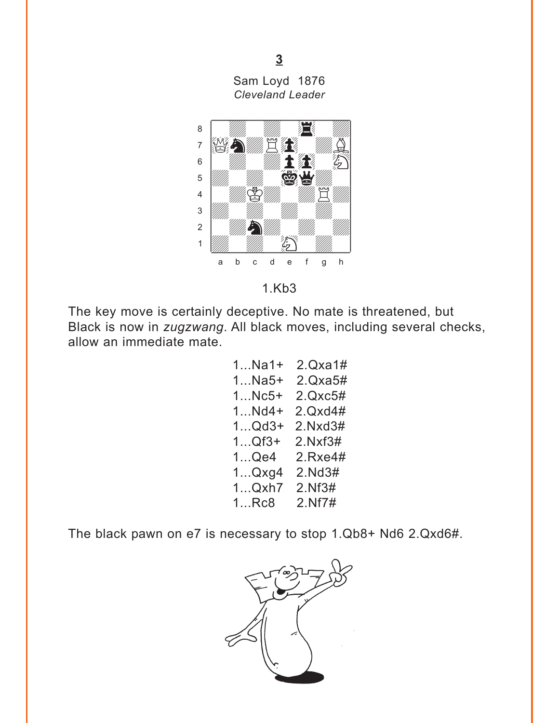Sam Loyd 1876 **Cleveland Leader** 

 $\overline{3}$ 

<span id="page-9-0"></span>

 $1.Kb3$ 

The key move is certainly deceptive. No mate is threatened, but Black is now in zugzwang. All black moves, including several checks, allow an immediate mate.

> $1...$ Na $1+$  $2.Qxa1#$  $2.Qxa5#$  $1...$ Na5+ 1...Nc5+ 2.Qxc5#  $1...Nd4+2.Qxd4#$  $1...$ Qd3+ 2.Nxd3#  $1...Qf3+$  $2.Nxf3#$  $1...$ Qe4  $2$ .Rxe4#  $1...Qxg4$  2. Nd 3# 1...Qxh7 2.Nf3#  $1_R$  $Rc8$ 2.Nf7#

The black pawn on e7 is necessary to stop 1.Qb8+ Nd6 2.Qxd6#.

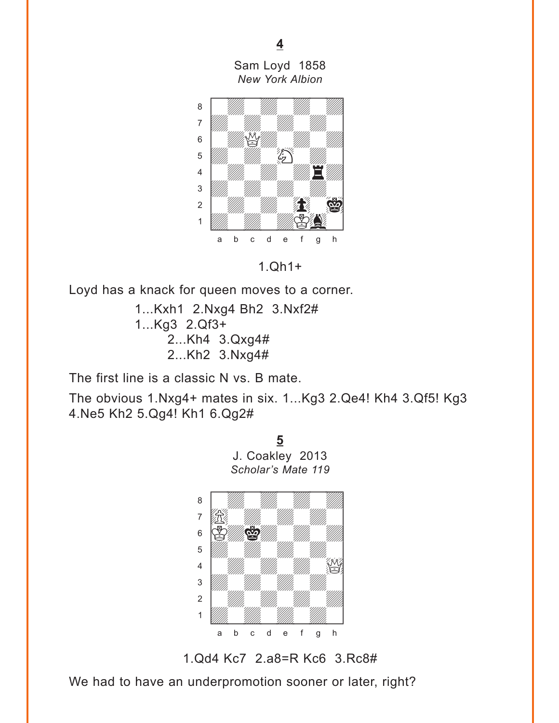Sam Loyd 1858 *New York Albion*

<span id="page-10-0"></span>

1.Qh1+

Loyd has a knack for queen moves to a corner.

1...Kxh1 2.Nxg4 Bh2 3.Nxf2# 1...Kg3 2.Qf3+ 2...Kh4 3.Qxg4# 2...Kh2 3.Nxg4#

The first line is a classic N vs. B mate.

The obvious 1.Nxg4+ mates in six. 1...Kg3 2.Qe4! Kh4 3.Qf5! Kg3 4.Ne5 Kh2 5.Qg4! Kh1 6.Qg2#





We had to have an underpromotion sooner or later, right?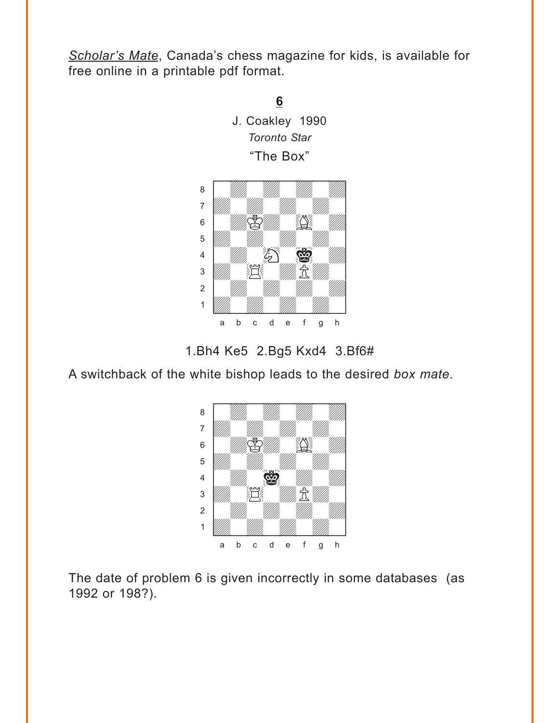<span id="page-11-0"></span>*Scholar's Mate*, Canada's chess magazine for kids, is available for free online in a printable pdf format.





1.Bh4 Ke5 2.Bg5 Kxd4 3.Bf6#

A switchback of the white bishop leads to the desired *box mate*.



The date of problem 6 is given incorrectly in some databases (as 1992 or 198?).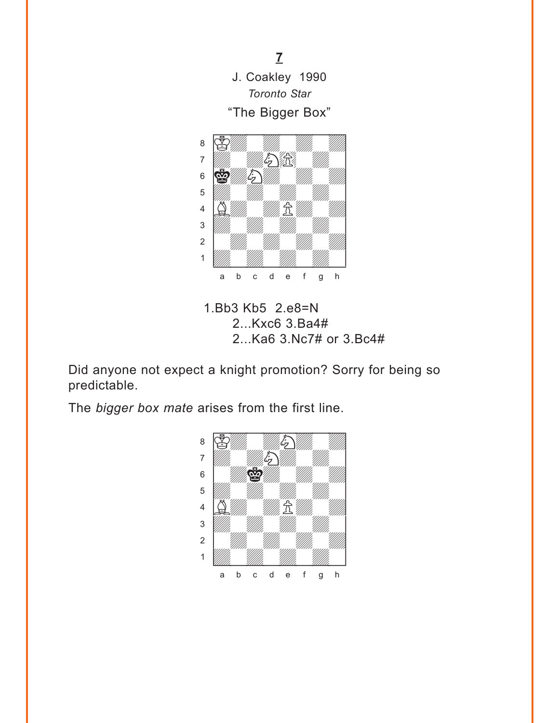<span id="page-12-0"></span>



1.Bb3 Kb5 2.e8=N 2...Kxc6 3.Ba4# 2...Ka6 3.Nc7# or 3.Bc4#

Did anyone not expect a knight promotion? Sorry for being so predictable.

The *bigger box mate* arises from the first line.

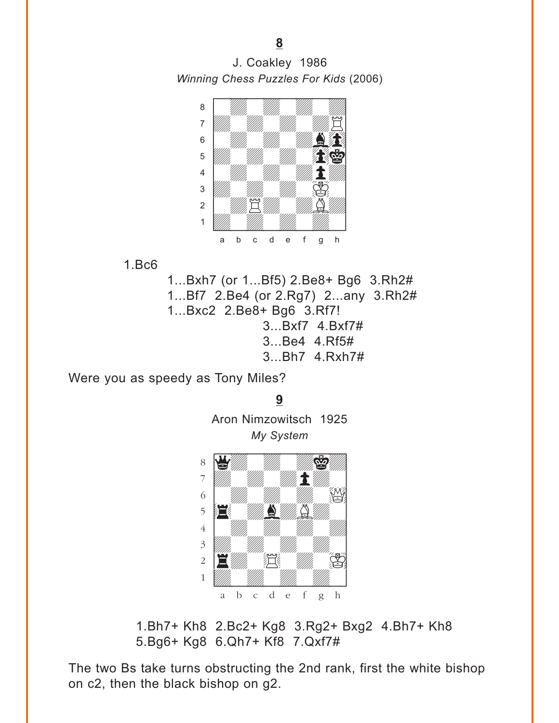<span id="page-13-0"></span>J. Coakley 1986 *Winning Chess Puzzles For Kids* (2006)



1.Bc6

1...Bxh7 (or 1...Bf5) 2.Be8+ Bg6 3.Rh2# 1...Bf7 2.Be4 (or 2.Rg7) 2...any 3.Rh2# 1...Bxc2 2.Be8+ Bg6 3.Rf7! 3...Bxf7 4.Bxf7# 3...Be4 4.Rf5# 3...Bh7 4.Rxh7#

Were you as speedy as Tony Miles?

**[9](#page-5-0)** Aron Nimzowitsch 1925 *My System*



1.Bh7+ Kh8 2.Bc2+ Kg8 3.Rg2+ Bxg2 4.Bh7+ Kh8 5.Bg6+ Kg8 6.Qh7+ Kf8 7.Qxf7#

The two Bs take turns obstructing the 2nd rank, first the white bishop on c2, then the black bishop on g2.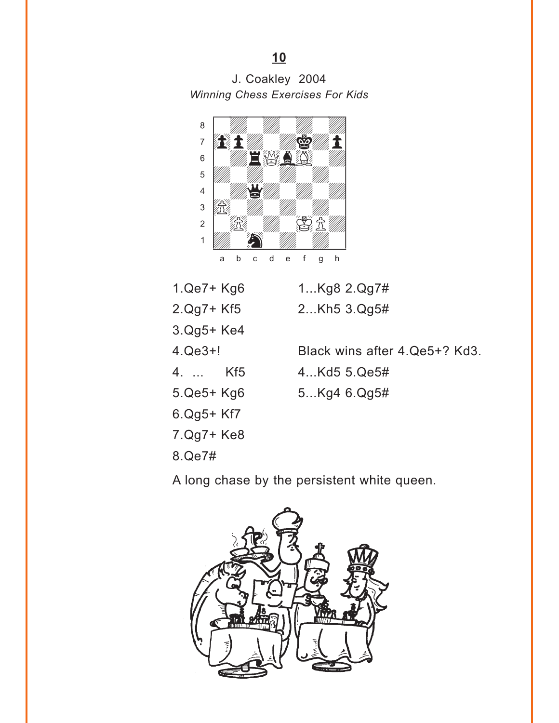# <span id="page-14-0"></span>J. Coakley 2004 *Winning Chess Exercises For Kids*



- 1.Qe7+ Kg6 1...Kg8 2.Qg7#
- 2.Qg7+ Kf5 2...Kh5 3.Qg5#
- 3.Qg5+ Ke4 4.Qe3+! Black wins after 4.Qe5+? Kd3.
- 4. ... Kf5 4...Kd5 5.Qe5#
- 
- 5.Qe5+ Kg6 5...Kg4 6.Qg5#
- 6.Qg5+ Kf7
- 7.Qg7+ Ke8
- 8.Qe7#

A long chase by the persistent white queen.

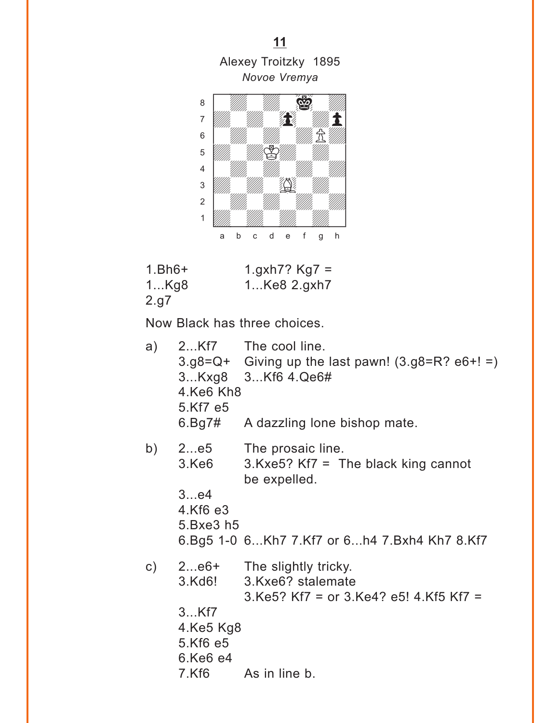<span id="page-15-0"></span>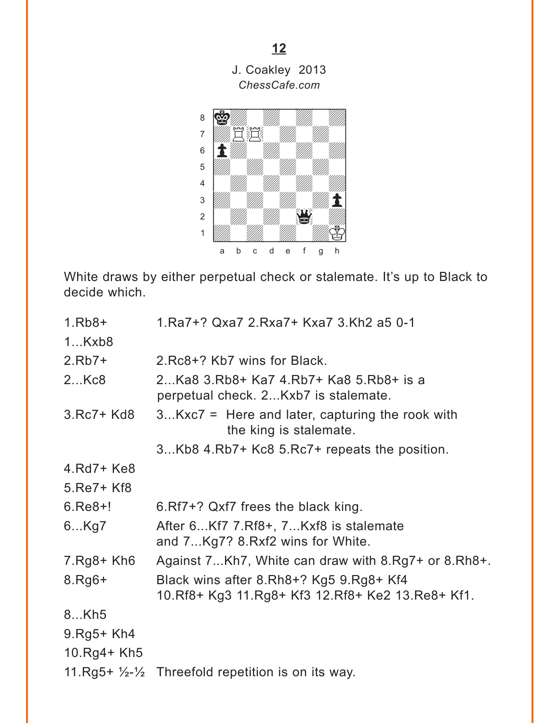<span id="page-16-0"></span>

White draws by either perpetual check or stalemate. It's up to Black to decide which.

| $1.Rb8+$      | 1.Ra7+? Qxa7 2.Rxa7+ Kxa7 3.Kh2 a5 0-1                                                          |
|---------------|-------------------------------------------------------------------------------------------------|
| 1Kxb8         |                                                                                                 |
| $2.Rb7+$      | 2.Rc8+? Kb7 wins for Black.                                                                     |
| 2Kc8          | 2Ka8 3.Rb8+ Ka7 4.Rb7+ Ka8 5.Rb8+ is a<br>perpetual check. 2Kxb7 is stalemate.                  |
| $3.Rc7+Kd8$   | $3Kxc7$ = Here and later, capturing the rook with<br>the king is stalemate.                     |
|               | 3Kb8 4.Rb7+ Kc8 5.Rc7+ repeats the position.                                                    |
| $4.Rd7+Ke8$   |                                                                                                 |
| 5.Re7+ Kf8    |                                                                                                 |
| $6.$ Re $8+!$ | 6. Rf7+? Qxf7 frees the black king.                                                             |
| 6Kg7          | After 6Kf7 7.Rf8+, 7Kxf8 is stalemate<br>and 7Kg7? 8.Rxf2 wins for White.                       |
| $7.Rg8+Kh6$   | Against 7Kh7, White can draw with 8.Rg7+ or 8.Rh8+.                                             |
| $8.Rg6+$      | Black wins after 8.Rh8+? Kg5 9.Rg8+ Kf4<br>10. Rf8+ Kg3 11. Rg8+ Kf3 12. Rf8+ Ke2 13. Re8+ Kf1. |
| 8Kh5          |                                                                                                 |
| $9.$ Rg5+ Kh4 |                                                                                                 |
| 10.Rg4+ Kh5   |                                                                                                 |
|               | 11. $Rg5+ \frac{1}{2} \frac{1}{2}$ Threefold repetition is on its way.                          |